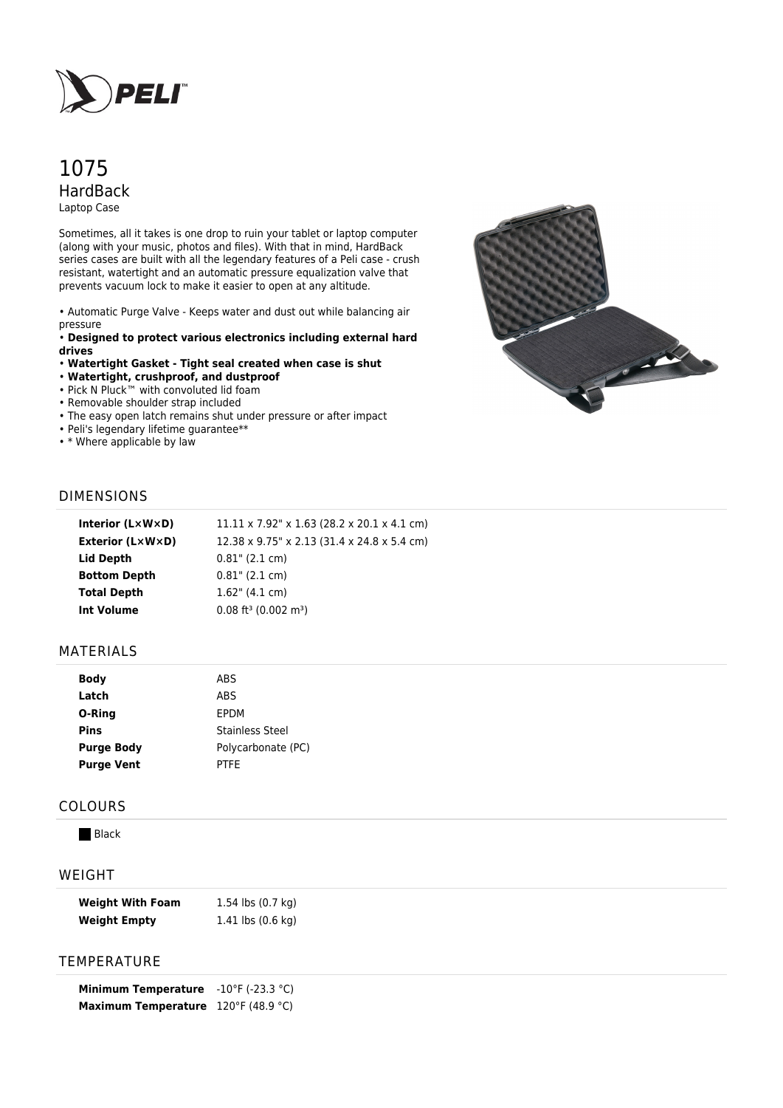

# 1075 HardBack Laptop Case

Sometimes, all it takes is one drop to ruin your tablet or laptop computer (along with your music, photos and files). With that in mind, HardBack series cases are built with all the legendary features of a Peli case - crush resistant, watertight and an automatic pressure equalization valve that prevents vacuum lock to make it easier to open at any altitude.

• Automatic Purge Valve - Keeps water and dust out while balancing air pressure

• **Designed to protect various electronics including external hard drives**

- **Watertight Gasket Tight seal created when case is shut**
- **Watertight, crushproof, and dustproof**
- Pick N Pluck™ with convoluted lid foam
- Removable shoulder strap included
- The easy open latch remains shut under pressure or after impact
- Peli's legendary lifetime guarantee\*\*
- \* Where applicable by law



## DIMENSIONS

| Interior (LxWxD)    | $11.11 \times 7.92$ " x 1.63 (28.2 x 20.1 x 4.1 cm) |
|---------------------|-----------------------------------------------------|
| Exterior (L×W×D)    | 12.38 x 9.75" x 2.13 (31.4 x 24.8 x 5.4 cm)         |
| Lid Depth           | $0.81$ " (2.1 cm)                                   |
| <b>Bottom Depth</b> | $0.81$ " (2.1 cm)                                   |
| <b>Total Depth</b>  | $1.62$ " (4.1 cm)                                   |
| Int Volume          | $0.08$ ft <sup>3</sup> (0.002 m <sup>3</sup> )      |
|                     |                                                     |

### MATERIALS

| <b>Body</b>       | ABS                |
|-------------------|--------------------|
| Latch             | ABS                |
| O-Ring            | <b>FPDM</b>        |
| Pins              | Stainless Steel    |
| <b>Purge Body</b> | Polycarbonate (PC) |
| <b>Purge Vent</b> | PTFF               |

### COLOURS

**Black** 

## WEIGHT

| <b>Weight With Foam</b> | 1.54 lbs (0.7 kg)                     |
|-------------------------|---------------------------------------|
| <b>Weight Empty</b>     | 1.41 $\mathsf{lbs}(0.6\ \mathsf{kq})$ |

#### TEMPERATURE

**Minimum Temperature** -10°F (-23.3 °C) **Maximum Temperature** 120°F (48.9 °C)